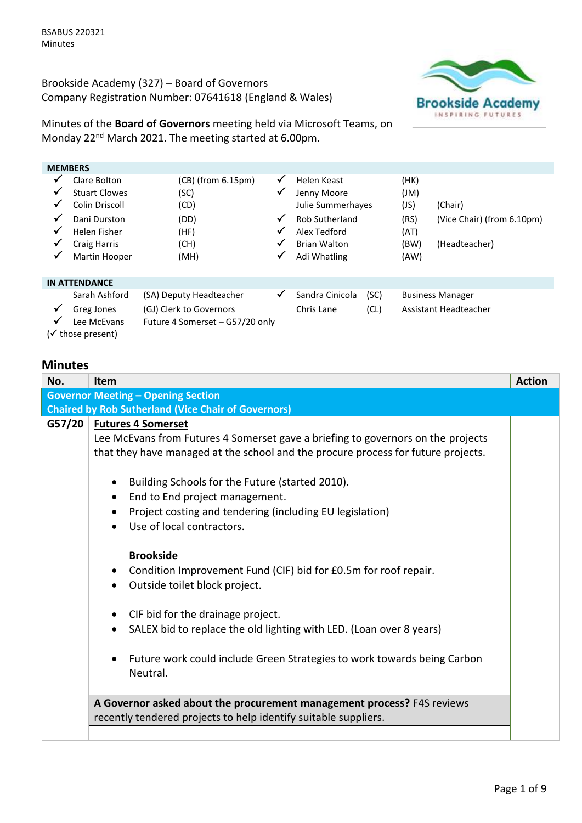Brookside Academy (327) – Board of Governors Company Registration Number: 07641618 (England & Wales)



Minutes of the **Board of Governors** meeting held via Microsoft Teams, on Monday 22nd March 2021. The meeting started at 6.00pm.

| <b>MEMBERS</b>                                        |                                                                                                                                |                                                                                 |                            |                                                                                                                                 |      |                                                     |                                                        |  |
|-------------------------------------------------------|--------------------------------------------------------------------------------------------------------------------------------|---------------------------------------------------------------------------------|----------------------------|---------------------------------------------------------------------------------------------------------------------------------|------|-----------------------------------------------------|--------------------------------------------------------|--|
| $\checkmark$<br>✔<br>✔<br>$\checkmark$<br>✔<br>✔<br>✓ | Clare Bolton<br><b>Stuart Clowes</b><br>Colin Driscoll<br>Dani Durston<br>Helen Fisher<br><b>Craig Harris</b><br>Martin Hooper | $(CB)$ (from $6.15 \text{pm}$ )<br>(SC)<br>(CD)<br>(DD)<br>(HF)<br>(CH)<br>(MH) | ✓<br>√<br>√<br>√<br>√<br>✔ | Helen Keast<br>Jenny Moore<br>Julie Summerhayes<br><b>Rob Sutherland</b><br>Alex Tedford<br><b>Brian Walton</b><br>Adi Whatling |      | (HK)<br>(M)<br>(JS)<br>(RS)<br>(AT)<br>(BW)<br>(AW) | (Chair)<br>(Vice Chair) (from 6.10pm)<br>(Headteacher) |  |
|                                                       | <b>IN ATTENDANCE</b>                                                                                                           |                                                                                 |                            |                                                                                                                                 |      |                                                     |                                                        |  |
|                                                       | Sarah Ashford                                                                                                                  | (SA) Deputy Headteacher                                                         | √                          | Sandra Cinicola                                                                                                                 | (SC) |                                                     | <b>Business Manager</b>                                |  |
| $\checkmark$                                          | Greg Jones                                                                                                                     | (GJ) Clerk to Governors                                                         |                            | Chris Lane                                                                                                                      | (CL) |                                                     | Assistant Headteacher                                  |  |
|                                                       | Lee McEvans                                                                                                                    | Future 4 Somerset - G57/20 only                                                 |                            |                                                                                                                                 |      |                                                     |                                                        |  |
|                                                       | (√ those present)                                                                                                              |                                                                                 |                            |                                                                                                                                 |      |                                                     |                                                        |  |

## **Minutes**

| No.    | <b>Item</b>                                                                       | <b>Action</b> |
|--------|-----------------------------------------------------------------------------------|---------------|
|        | <b>Governor Meeting - Opening Section</b>                                         |               |
|        | <b>Chaired by Rob Sutherland (Vice Chair of Governors)</b>                        |               |
| G57/20 | <b>Futures 4 Somerset</b>                                                         |               |
|        | Lee McEvans from Futures 4 Somerset gave a briefing to governors on the projects  |               |
|        | that they have managed at the school and the procure process for future projects. |               |
|        |                                                                                   |               |
|        | Building Schools for the Future (started 2010).<br>$\bullet$                      |               |
|        | End to End project management.                                                    |               |
|        | Project costing and tendering (including EU legislation)                          |               |
|        | Use of local contractors.                                                         |               |
|        |                                                                                   |               |
|        | <b>Brookside</b>                                                                  |               |
|        | Condition Improvement Fund (CIF) bid for £0.5m for roof repair.                   |               |
|        | Outside toilet block project.<br>$\bullet$                                        |               |
|        | CIF bid for the drainage project.<br>$\bullet$                                    |               |
|        |                                                                                   |               |
|        | SALEX bid to replace the old lighting with LED. (Loan over 8 years)               |               |
|        | Future work could include Green Strategies to work towards being Carbon           |               |
|        | Neutral.                                                                          |               |
|        |                                                                                   |               |
|        | A Governor asked about the procurement management process? F4S reviews            |               |
|        | recently tendered projects to help identify suitable suppliers.                   |               |
|        |                                                                                   |               |
|        |                                                                                   |               |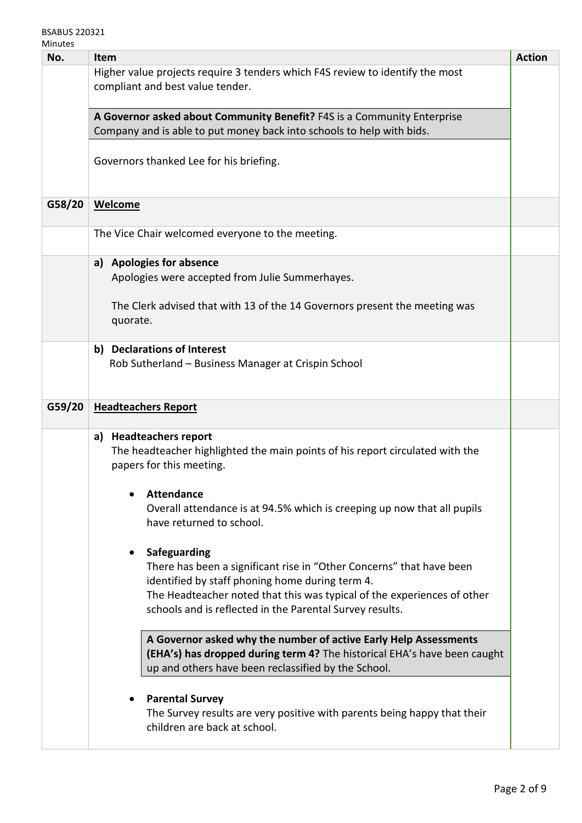| No.    | <b>Item</b>                                                                                                                                      | <b>Action</b> |
|--------|--------------------------------------------------------------------------------------------------------------------------------------------------|---------------|
|        | Higher value projects require 3 tenders which F4S review to identify the most                                                                    |               |
|        | compliant and best value tender.                                                                                                                 |               |
|        |                                                                                                                                                  |               |
|        | A Governor asked about Community Benefit? F4S is a Community Enterprise<br>Company and is able to put money back into schools to help with bids. |               |
|        |                                                                                                                                                  |               |
|        | Governors thanked Lee for his briefing.                                                                                                          |               |
|        |                                                                                                                                                  |               |
|        |                                                                                                                                                  |               |
| G58/20 | <b>Welcome</b>                                                                                                                                   |               |
|        | The Vice Chair welcomed everyone to the meeting.                                                                                                 |               |
|        |                                                                                                                                                  |               |
|        | a) Apologies for absence                                                                                                                         |               |
|        | Apologies were accepted from Julie Summerhayes.                                                                                                  |               |
|        | The Clerk advised that with 13 of the 14 Governors present the meeting was                                                                       |               |
|        | quorate.                                                                                                                                         |               |
|        |                                                                                                                                                  |               |
|        | b) Declarations of Interest<br>Rob Sutherland - Business Manager at Crispin School                                                               |               |
|        |                                                                                                                                                  |               |
|        |                                                                                                                                                  |               |
| G59/20 | <b>Headteachers Report</b>                                                                                                                       |               |
|        |                                                                                                                                                  |               |
|        | a) Headteachers report<br>The headteacher highlighted the main points of his report circulated with the                                          |               |
|        | papers for this meeting.                                                                                                                         |               |
|        |                                                                                                                                                  |               |
|        | <b>Attendance</b>                                                                                                                                |               |
|        | Overall attendance is at 94.5% which is creeping up now that all pupils<br>have returned to school.                                              |               |
|        |                                                                                                                                                  |               |
|        | Safeguarding                                                                                                                                     |               |
|        | There has been a significant rise in "Other Concerns" that have been                                                                             |               |
|        | identified by staff phoning home during term 4.                                                                                                  |               |
|        | The Headteacher noted that this was typical of the experiences of other<br>schools and is reflected in the Parental Survey results.              |               |
|        |                                                                                                                                                  |               |
|        | A Governor asked why the number of active Early Help Assessments                                                                                 |               |
|        | (EHA's) has dropped during term 4? The historical EHA's have been caught                                                                         |               |
|        | up and others have been reclassified by the School.                                                                                              |               |
|        |                                                                                                                                                  |               |
|        | <b>Parental Survey</b><br>The Survey results are very positive with parents being happy that their                                               |               |
|        | children are back at school.                                                                                                                     |               |
|        |                                                                                                                                                  |               |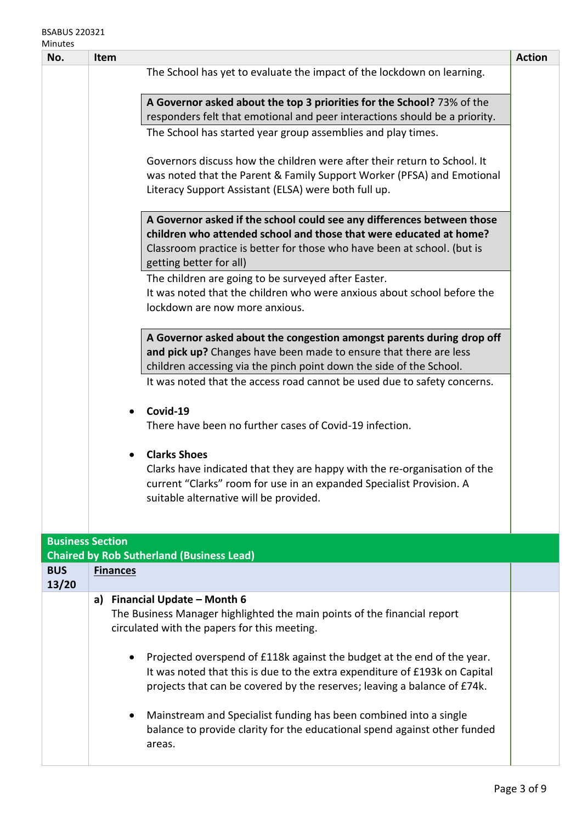# BSABUS 220321

| Minutes                 |                                                                                                                                                                                                                                                                                               |                                                                                                                                                                                                                                                    |               |  |  |
|-------------------------|-----------------------------------------------------------------------------------------------------------------------------------------------------------------------------------------------------------------------------------------------------------------------------------------------|----------------------------------------------------------------------------------------------------------------------------------------------------------------------------------------------------------------------------------------------------|---------------|--|--|
| No.                     | Item                                                                                                                                                                                                                                                                                          |                                                                                                                                                                                                                                                    | <b>Action</b> |  |  |
|                         |                                                                                                                                                                                                                                                                                               | The School has yet to evaluate the impact of the lockdown on learning.                                                                                                                                                                             |               |  |  |
|                         |                                                                                                                                                                                                                                                                                               | A Governor asked about the top 3 priorities for the School? 73% of the<br>responders felt that emotional and peer interactions should be a priority.                                                                                               |               |  |  |
|                         |                                                                                                                                                                                                                                                                                               | The School has started year group assemblies and play times.                                                                                                                                                                                       |               |  |  |
|                         |                                                                                                                                                                                                                                                                                               | Governors discuss how the children were after their return to School. It<br>was noted that the Parent & Family Support Worker (PFSA) and Emotional<br>Literacy Support Assistant (ELSA) were both full up.                                         |               |  |  |
|                         |                                                                                                                                                                                                                                                                                               | A Governor asked if the school could see any differences between those<br>children who attended school and those that were educated at home?<br>Classroom practice is better for those who have been at school. (but is<br>getting better for all) |               |  |  |
|                         |                                                                                                                                                                                                                                                                                               | The children are going to be surveyed after Easter.<br>It was noted that the children who were anxious about school before the<br>lockdown are now more anxious.                                                                                   |               |  |  |
|                         | A Governor asked about the congestion amongst parents during drop off<br>and pick up? Changes have been made to ensure that there are less<br>children accessing via the pinch point down the side of the School.<br>It was noted that the access road cannot be used due to safety concerns. |                                                                                                                                                                                                                                                    |               |  |  |
|                         | $\bullet$                                                                                                                                                                                                                                                                                     | Covid-19<br>There have been no further cases of Covid-19 infection.                                                                                                                                                                                |               |  |  |
|                         | $\bullet$                                                                                                                                                                                                                                                                                     | <b>Clarks Shoes</b><br>Clarks have indicated that they are happy with the re-organisation of the<br>current "Clarks" room for use in an expanded Specialist Provision. A<br>suitable alternative will be provided.                                 |               |  |  |
| <b>Business Section</b> |                                                                                                                                                                                                                                                                                               | <b>Chaired by Rob Sutherland (Business Lead)</b>                                                                                                                                                                                                   |               |  |  |
| <b>BUS</b><br>13/20     | <b>Finances</b>                                                                                                                                                                                                                                                                               |                                                                                                                                                                                                                                                    |               |  |  |
|                         | a)                                                                                                                                                                                                                                                                                            | Financial Update - Month 6<br>The Business Manager highlighted the main points of the financial report<br>circulated with the papers for this meeting.                                                                                             |               |  |  |
|                         |                                                                                                                                                                                                                                                                                               | Projected overspend of £118k against the budget at the end of the year.<br>It was noted that this is due to the extra expenditure of £193k on Capital<br>projects that can be covered by the reserves; leaving a balance of £74k.                  |               |  |  |
|                         |                                                                                                                                                                                                                                                                                               | Mainstream and Specialist funding has been combined into a single<br>balance to provide clarity for the educational spend against other funded<br>areas.                                                                                           |               |  |  |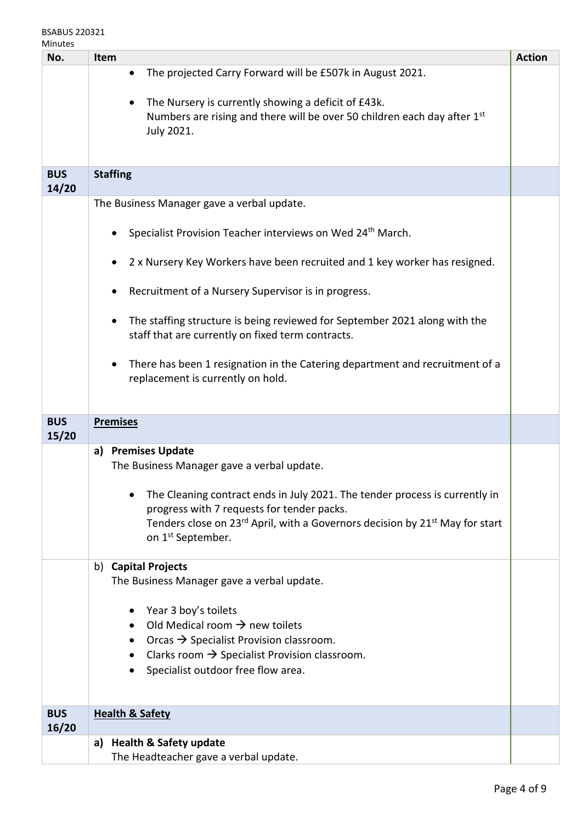### BSABUS 220321 Minutes

| No.                 | Item                                                                                                                                                                                | <b>Action</b> |
|---------------------|-------------------------------------------------------------------------------------------------------------------------------------------------------------------------------------|---------------|
|                     | The projected Carry Forward will be £507k in August 2021.<br>٠                                                                                                                      |               |
|                     | The Nursery is currently showing a deficit of £43k.<br>Numbers are rising and there will be over 50 children each day after 1 <sup>st</sup><br>July 2021.                           |               |
| <b>BUS</b><br>14/20 | <b>Staffing</b>                                                                                                                                                                     |               |
|                     | The Business Manager gave a verbal update.                                                                                                                                          |               |
|                     | Specialist Provision Teacher interviews on Wed 24 <sup>th</sup> March.<br>٠                                                                                                         |               |
|                     | 2 x Nursery Key Workers have been recruited and 1 key worker has resigned.<br>$\bullet$                                                                                             |               |
|                     | Recruitment of a Nursery Supervisor is in progress.<br>٠                                                                                                                            |               |
|                     | The staffing structure is being reviewed for September 2021 along with the<br>$\bullet$<br>staff that are currently on fixed term contracts.                                        |               |
|                     | There has been 1 resignation in the Catering department and recruitment of a<br>$\bullet$<br>replacement is currently on hold.                                                      |               |
| <b>BUS</b><br>15/20 | <b>Premises</b>                                                                                                                                                                     |               |
|                     | <b>Premises Update</b><br>a)<br>The Business Manager gave a verbal update.<br>The Cleaning contract ends in July 2021. The tender process is currently in                           |               |
|                     | progress with 7 requests for tender packs.<br>Tenders close on 23 <sup>rd</sup> April, with a Governors decision by 21 <sup>st</sup> May for start<br>on 1 <sup>st</sup> September. |               |
|                     | b) Capital Projects<br>The Business Manager gave a verbal update.                                                                                                                   |               |
|                     |                                                                                                                                                                                     |               |
|                     | Year 3 boy's toilets<br>Old Medical room $\rightarrow$ new toilets<br>$\bullet$                                                                                                     |               |
|                     | Orcas $\rightarrow$ Specialist Provision classroom.<br>$\bullet$                                                                                                                    |               |
|                     | Clarks room $\rightarrow$ Specialist Provision classroom.<br>Specialist outdoor free flow area.                                                                                     |               |
| <b>BUS</b>          | <b>Health &amp; Safety</b>                                                                                                                                                          |               |
| 16/20               | a) Health & Safety update                                                                                                                                                           |               |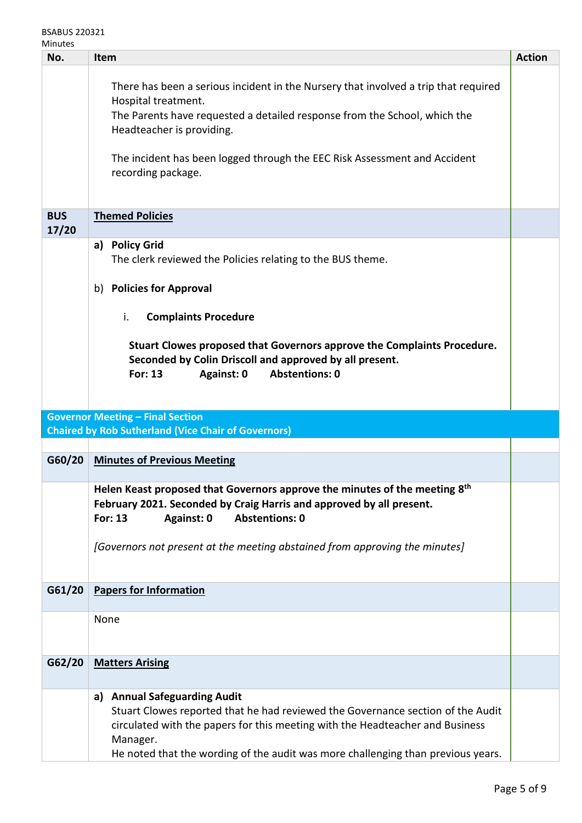| No.                 | Item                                                                                                                                                                                                                                                                                                                                                   | <b>Action</b> |
|---------------------|--------------------------------------------------------------------------------------------------------------------------------------------------------------------------------------------------------------------------------------------------------------------------------------------------------------------------------------------------------|---------------|
|                     | There has been a serious incident in the Nursery that involved a trip that required<br>Hospital treatment.<br>The Parents have requested a detailed response from the School, which the<br>Headteacher is providing.<br>The incident has been logged through the EEC Risk Assessment and Accident<br>recording package.                                |               |
| <b>BUS</b><br>17/20 | <b>Themed Policies</b>                                                                                                                                                                                                                                                                                                                                 |               |
|                     | <b>Policy Grid</b><br>a)<br>The clerk reviewed the Policies relating to the BUS theme.<br>b) Policies for Approval<br><b>Complaints Procedure</b><br>i.<br>Stuart Clowes proposed that Governors approve the Complaints Procedure.<br>Seconded by Colin Driscoll and approved by all present.<br><b>Abstentions: 0</b><br><b>For: 13</b><br>Against: 0 |               |
|                     | <b>Governor Meeting - Final Section</b><br><b>Chaired by Rob Sutherland (Vice Chair of Governors)</b>                                                                                                                                                                                                                                                  |               |
| G60/20              | <b>Minutes of Previous Meeting</b>                                                                                                                                                                                                                                                                                                                     |               |
|                     | Helen Keast proposed that Governors approve the minutes of the meeting 8th<br>February 2021. Seconded by Craig Harris and approved by all present.<br><b>For: 13</b><br><b>Abstentions: 0</b><br>Against: 0<br>[Governors not present at the meeting abstained from approving the minutes]                                                             |               |
| G61/20              | <b>Papers for Information</b>                                                                                                                                                                                                                                                                                                                          |               |
|                     | None                                                                                                                                                                                                                                                                                                                                                   |               |
| G62/20              | <b>Matters Arising</b>                                                                                                                                                                                                                                                                                                                                 |               |
|                     | <b>Annual Safeguarding Audit</b><br>a)<br>Stuart Clowes reported that he had reviewed the Governance section of the Audit<br>circulated with the papers for this meeting with the Headteacher and Business<br>Manager.                                                                                                                                 |               |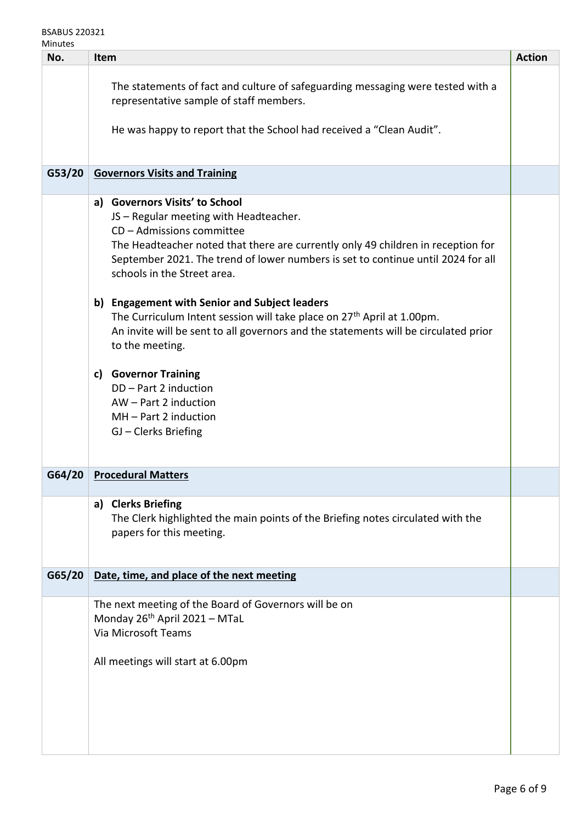| No.    | <b>Item</b>                                                                                                                                                                                                                                                                                                                                                   | <b>Action</b> |
|--------|---------------------------------------------------------------------------------------------------------------------------------------------------------------------------------------------------------------------------------------------------------------------------------------------------------------------------------------------------------------|---------------|
|        | The statements of fact and culture of safeguarding messaging were tested with a<br>representative sample of staff members.<br>He was happy to report that the School had received a "Clean Audit".                                                                                                                                                            |               |
|        |                                                                                                                                                                                                                                                                                                                                                               |               |
| G53/20 | <b>Governors Visits and Training</b>                                                                                                                                                                                                                                                                                                                          |               |
|        | a) Governors Visits' to School<br>JS - Regular meeting with Headteacher.<br>CD - Admissions committee<br>The Headteacher noted that there are currently only 49 children in reception for<br>September 2021. The trend of lower numbers is set to continue until 2024 for all<br>schools in the Street area.<br>b) Engagement with Senior and Subject leaders |               |
|        | The Curriculum Intent session will take place on 27 <sup>th</sup> April at 1.00pm.<br>An invite will be sent to all governors and the statements will be circulated prior<br>to the meeting.                                                                                                                                                                  |               |
|        | c) Governor Training<br>DD - Part 2 induction<br>AW - Part 2 induction<br>$MH - Part 2 induction$<br>GJ - Clerks Briefing                                                                                                                                                                                                                                     |               |
| G64/20 | <b>Procedural Matters</b>                                                                                                                                                                                                                                                                                                                                     |               |
|        | <b>Clerks Briefing</b><br>a)<br>The Clerk highlighted the main points of the Briefing notes circulated with the<br>papers for this meeting.                                                                                                                                                                                                                   |               |
| G65/20 | Date, time, and place of the next meeting                                                                                                                                                                                                                                                                                                                     |               |
|        | The next meeting of the Board of Governors will be on<br>Monday 26 <sup>th</sup> April 2021 - MTaL<br>Via Microsoft Teams<br>All meetings will start at 6.00pm                                                                                                                                                                                                |               |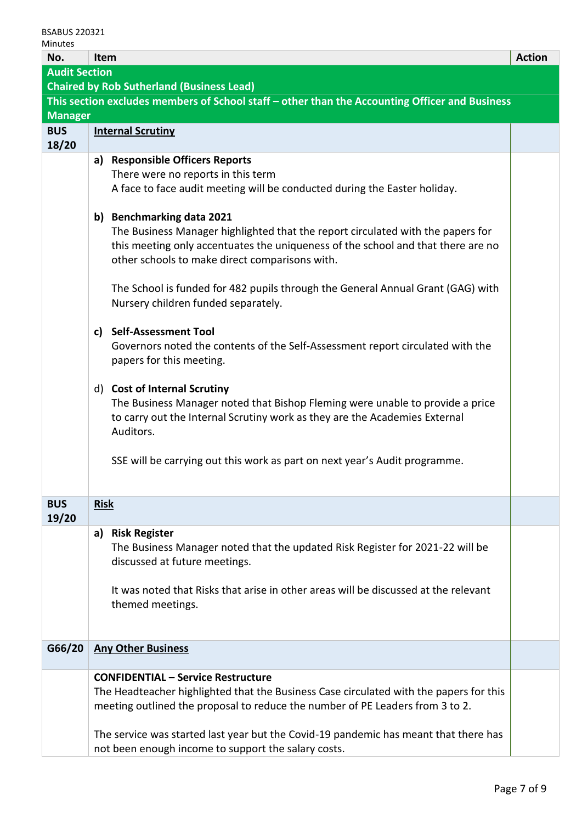| No.                  | <b>Action</b><br>Item    |                                                                                                |  |  |  |
|----------------------|--------------------------|------------------------------------------------------------------------------------------------|--|--|--|
| <b>Audit Section</b> |                          |                                                                                                |  |  |  |
|                      |                          | <b>Chaired by Rob Sutherland (Business Lead)</b>                                               |  |  |  |
|                      |                          | This section excludes members of School staff - other than the Accounting Officer and Business |  |  |  |
| <b>Manager</b>       |                          |                                                                                                |  |  |  |
| <b>BUS</b>           | <b>Internal Scrutiny</b> |                                                                                                |  |  |  |
| 18/20                |                          |                                                                                                |  |  |  |
|                      | a)                       | <b>Responsible Officers Reports</b>                                                            |  |  |  |
|                      |                          | There were no reports in this term                                                             |  |  |  |
|                      |                          | A face to face audit meeting will be conducted during the Easter holiday.                      |  |  |  |
|                      |                          |                                                                                                |  |  |  |
|                      |                          | b) Benchmarking data 2021                                                                      |  |  |  |
|                      |                          | The Business Manager highlighted that the report circulated with the papers for                |  |  |  |
|                      |                          | this meeting only accentuates the uniqueness of the school and that there are no               |  |  |  |
|                      |                          | other schools to make direct comparisons with.                                                 |  |  |  |
|                      |                          | The School is funded for 482 pupils through the General Annual Grant (GAG) with                |  |  |  |
|                      |                          | Nursery children funded separately.                                                            |  |  |  |
|                      |                          |                                                                                                |  |  |  |
|                      |                          | c) Self-Assessment Tool                                                                        |  |  |  |
|                      |                          | Governors noted the contents of the Self-Assessment report circulated with the                 |  |  |  |
|                      |                          | papers for this meeting.                                                                       |  |  |  |
|                      |                          |                                                                                                |  |  |  |
|                      |                          | d) Cost of Internal Scrutiny                                                                   |  |  |  |
|                      |                          | The Business Manager noted that Bishop Fleming were unable to provide a price                  |  |  |  |
|                      |                          | to carry out the Internal Scrutiny work as they are the Academies External                     |  |  |  |
|                      |                          | Auditors.                                                                                      |  |  |  |
|                      |                          |                                                                                                |  |  |  |
|                      |                          | SSE will be carrying out this work as part on next year's Audit programme.                     |  |  |  |
|                      |                          |                                                                                                |  |  |  |
|                      |                          |                                                                                                |  |  |  |
| <b>BUS</b>           | <b>Risk</b>              |                                                                                                |  |  |  |
| 19/20                |                          |                                                                                                |  |  |  |
|                      |                          | a) Risk Register                                                                               |  |  |  |
|                      |                          | The Business Manager noted that the updated Risk Register for 2021-22 will be                  |  |  |  |
|                      |                          | discussed at future meetings.                                                                  |  |  |  |
|                      |                          |                                                                                                |  |  |  |
|                      |                          | It was noted that Risks that arise in other areas will be discussed at the relevant            |  |  |  |
|                      |                          | themed meetings.                                                                               |  |  |  |
|                      |                          |                                                                                                |  |  |  |
| G66/20               |                          | <b>Any Other Business</b>                                                                      |  |  |  |
|                      |                          |                                                                                                |  |  |  |
|                      |                          | <b>CONFIDENTIAL - Service Restructure</b>                                                      |  |  |  |
|                      |                          | The Headteacher highlighted that the Business Case circulated with the papers for this         |  |  |  |
|                      |                          | meeting outlined the proposal to reduce the number of PE Leaders from 3 to 2.                  |  |  |  |
|                      |                          |                                                                                                |  |  |  |
|                      |                          | The service was started last year but the Covid-19 pandemic has meant that there has           |  |  |  |
|                      |                          | not been enough income to support the salary costs.                                            |  |  |  |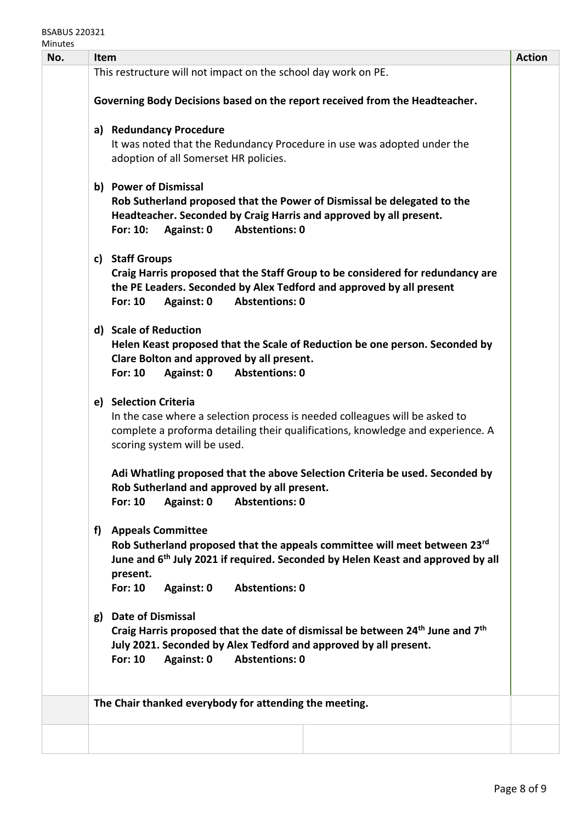#### BSABUS 220321 **Minutes**

| Item |                                                                                                                                                                                                                                                                           | <b>Action</b>                                                                                                                                                                                                                                                                                                                    |
|------|---------------------------------------------------------------------------------------------------------------------------------------------------------------------------------------------------------------------------------------------------------------------------|----------------------------------------------------------------------------------------------------------------------------------------------------------------------------------------------------------------------------------------------------------------------------------------------------------------------------------|
|      |                                                                                                                                                                                                                                                                           |                                                                                                                                                                                                                                                                                                                                  |
|      |                                                                                                                                                                                                                                                                           |                                                                                                                                                                                                                                                                                                                                  |
|      |                                                                                                                                                                                                                                                                           |                                                                                                                                                                                                                                                                                                                                  |
|      | It was noted that the Redundancy Procedure in use was adopted under the<br>adoption of all Somerset HR policies.                                                                                                                                                          |                                                                                                                                                                                                                                                                                                                                  |
|      | Rob Sutherland proposed that the Power of Dismissal be delegated to the<br>Headteacher. Seconded by Craig Harris and approved by all present.<br>For: 10:<br>Against: 0<br><b>Abstentions: 0</b>                                                                          |                                                                                                                                                                                                                                                                                                                                  |
|      | Craig Harris proposed that the Staff Group to be considered for redundancy are<br>the PE Leaders. Seconded by Alex Tedford and approved by all present<br><b>For: 10</b><br>Against: 0<br><b>Abstentions: 0</b>                                                           |                                                                                                                                                                                                                                                                                                                                  |
|      | Helen Keast proposed that the Scale of Reduction be one person. Seconded by<br>Clare Bolton and approved by all present.<br><b>For: 10</b><br>Against: 0<br><b>Abstentions: 0</b>                                                                                         |                                                                                                                                                                                                                                                                                                                                  |
|      | In the case where a selection process is needed colleagues will be asked to<br>complete a proforma detailing their qualifications, knowledge and experience. A<br>scoring system will be used.                                                                            |                                                                                                                                                                                                                                                                                                                                  |
|      | Adi Whatling proposed that the above Selection Criteria be used. Seconded by<br>Rob Sutherland and approved by all present.<br><b>For: 10</b><br><b>Abstentions: 0</b><br>Against: 0                                                                                      |                                                                                                                                                                                                                                                                                                                                  |
| f)   | <b>Appeals Committee</b><br>Rob Sutherland proposed that the appeals committee will meet between 23rd<br>June and 6 <sup>th</sup> July 2021 if required. Seconded by Helen Keast and approved by all<br>present.<br><b>For: 10</b><br><b>Abstentions: 0</b><br>Against: 0 |                                                                                                                                                                                                                                                                                                                                  |
| g)   | <b>Date of Dismissal</b><br>Craig Harris proposed that the date of dismissal be between 24 <sup>th</sup> June and 7 <sup>th</sup><br>July 2021. Seconded by Alex Tedford and approved by all present.<br><b>For: 10</b><br>Against: 0<br><b>Abstentions: 0</b>            |                                                                                                                                                                                                                                                                                                                                  |
|      |                                                                                                                                                                                                                                                                           |                                                                                                                                                                                                                                                                                                                                  |
|      |                                                                                                                                                                                                                                                                           |                                                                                                                                                                                                                                                                                                                                  |
|      |                                                                                                                                                                                                                                                                           | This restructure will not impact on the school day work on PE.<br>Governing Body Decisions based on the report received from the Headteacher.<br>a) Redundancy Procedure<br>b) Power of Dismissal<br>c) Staff Groups<br>d) Scale of Reduction<br>e) Selection Criteria<br>The Chair thanked everybody for attending the meeting. |